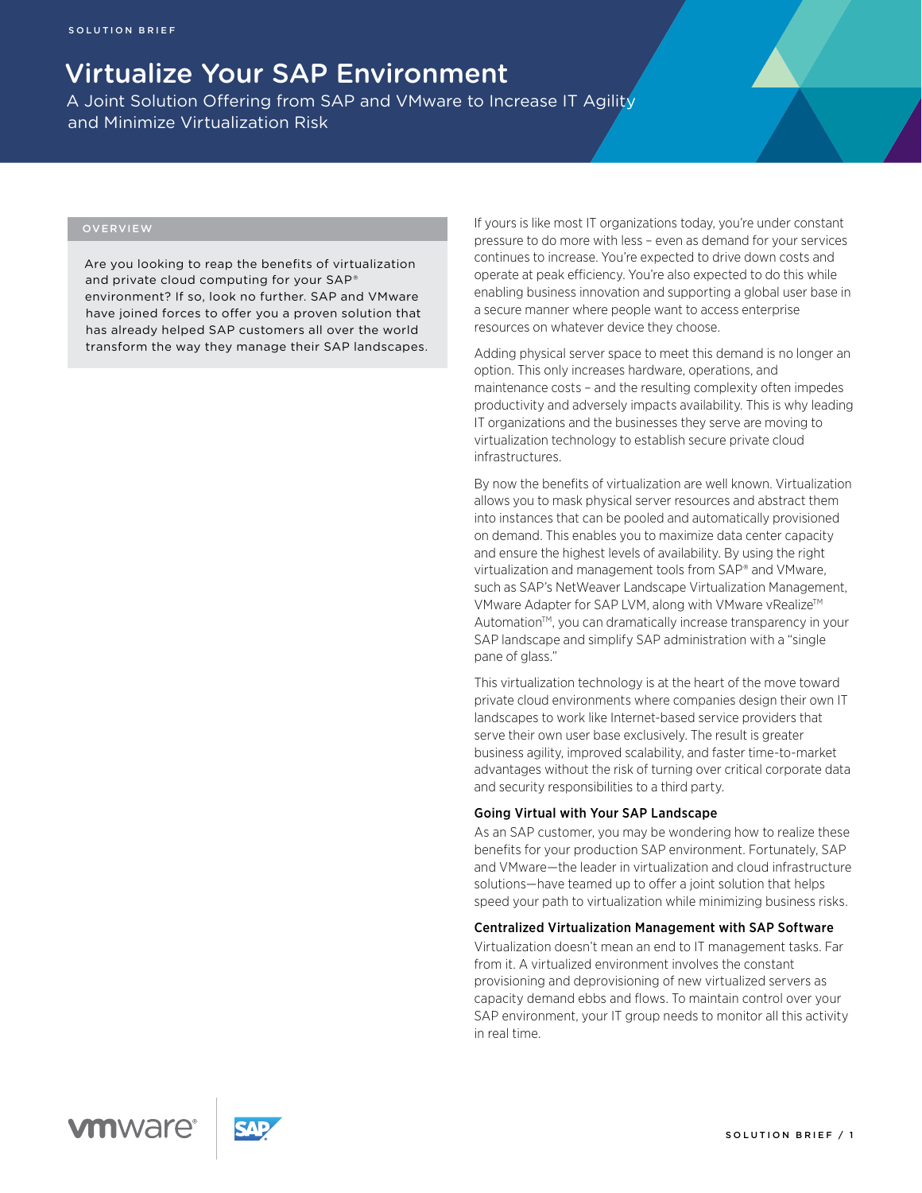# Virtualize Your SAP Environment

A Joint Solution Offering from SAP and VMware to Increase IT Agility and Minimize Virtualization Risk

# OVERVIEW

Are you looking to reap the benefits of virtualization and private cloud computing for your SAP® environment? If so, look no further. SAP and VMware have joined forces to offer you a proven solution that has already helped SAP customers all over the world transform the way they manage their SAP landscapes. If yours is like most IT organizations today, you're under constant pressure to do more with less – even as demand for your services continues to increase. You're expected to drive down costs and operate at peak efficiency. You're also expected to do this while enabling business innovation and supporting a global user base in a secure manner where people want to access enterprise resources on whatever device they choose.

Adding physical server space to meet this demand is no longer an option. This only increases hardware, operations, and maintenance costs – and the resulting complexity often impedes productivity and adversely impacts availability. This is why leading IT organizations and the businesses they serve are moving to virtualization technology to establish secure private cloud infrastructures.

By now the benefits of virtualization are well known. Virtualization allows you to mask physical server resources and abstract them into instances that can be pooled and automatically provisioned on demand. This enables you to maximize data center capacity and ensure the highest levels of availability. By using the right virtualization and management tools from SAP® and VMware, such as SAP's NetWeaver Landscape Virtualization Management, VMware Adapter for SAP LVM, along with VMware vRealize™ Automation<sup>™</sup>, you can dramatically increase transparency in your SAP landscape and simplify SAP administration with a "single pane of glass."

This virtualization technology is at the heart of the move toward private cloud environments where companies design their own IT landscapes to work like Internet-based service providers that serve their own user base exclusively. The result is greater business agility, improved scalability, and faster time-to-market advantages without the risk of turning over critical corporate data and security responsibilities to a third party.

#### Going Virtual with Your SAP Landscape

As an SAP customer, you may be wondering how to realize these benefits for your production SAP environment. Fortunately, SAP and VMware—the leader in virtualization and cloud infrastructure solutions—have teamed up to offer a joint solution that helps speed your path to virtualization while minimizing business risks.

### Centralized Virtualization Management with SAP Software

Virtualization doesn't mean an end to IT management tasks. Far from it. A virtualized environment involves the constant provisioning and deprovisioning of new virtualized servers as capacity demand ebbs and flows. To maintain control over your SAP environment, your IT group needs to monitor all this activity in real time.



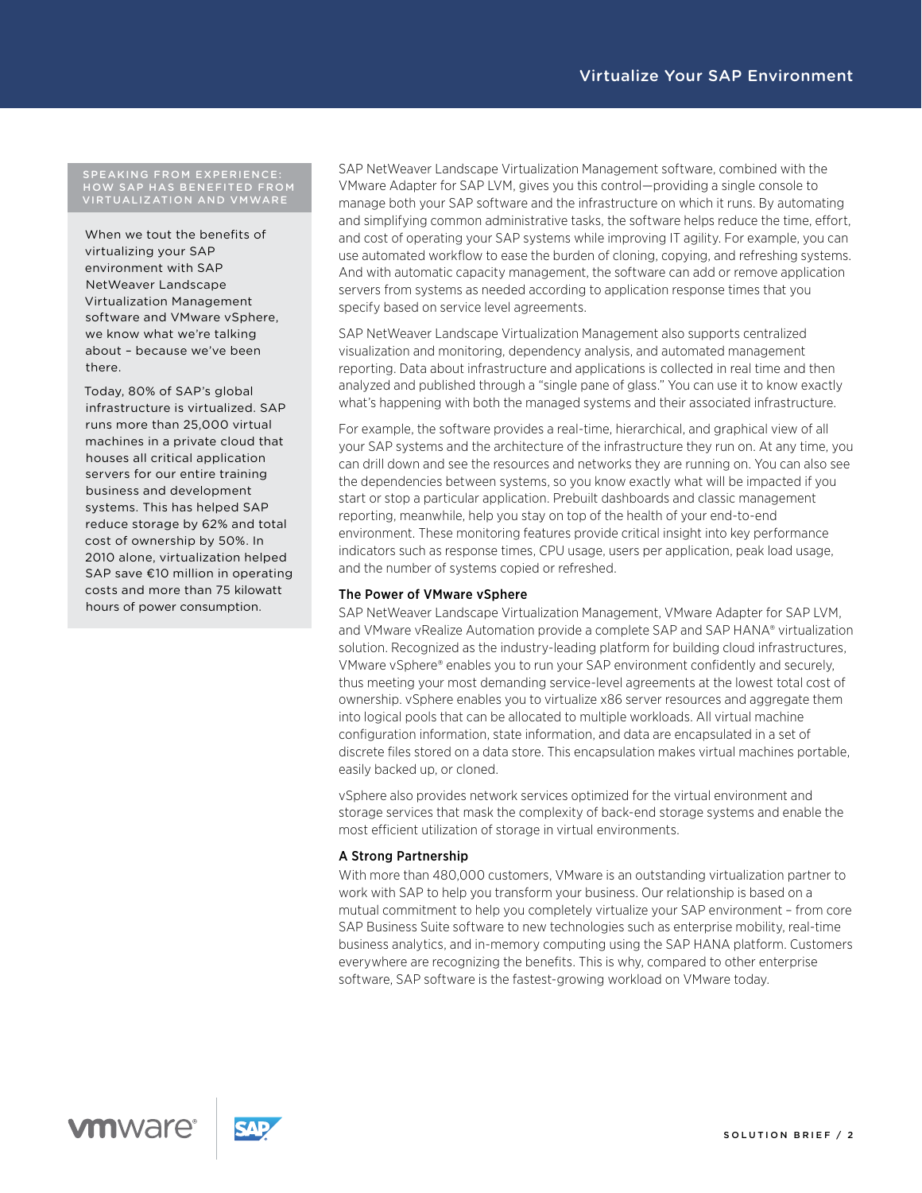#### SPEAKING FROM EXPERIENCE: HOW SAP HAS BENEFITED FROM VIRTUALIZATION AND VMWARE

When we tout the benefits of virtualizing your SAP environment with SAP NetWeaver Landscape Virtualization Management software and VMware vSphere, we know what we're talking about – because we've been there.

Today, 80% of SAP's global infrastructure is virtualized. SAP runs more than 25,000 virtual machines in a private cloud that houses all critical application servers for our entire training business and development systems. This has helped SAP reduce storage by 62% and total cost of ownership by 50%. In 2010 alone, virtualization helped SAP save €10 million in operating costs and more than 75 kilowatt hours of power consumption.

SAP NetWeaver Landscape Virtualization Management software, combined with the VMware Adapter for SAP LVM, gives you this control—providing a single console to manage both your SAP software and the infrastructure on which it runs. By automating and simplifying common administrative tasks, the software helps reduce the time, effort, and cost of operating your SAP systems while improving IT agility. For example, you can use automated workflow to ease the burden of cloning, copying, and refreshing systems. And with automatic capacity management, the software can add or remove application servers from systems as needed according to application response times that you specify based on service level agreements.

SAP NetWeaver Landscape Virtualization Management also supports centralized visualization and monitoring, dependency analysis, and automated management reporting. Data about infrastructure and applications is collected in real time and then analyzed and published through a "single pane of glass." You can use it to know exactly what's happening with both the managed systems and their associated infrastructure.

For example, the software provides a real-time, hierarchical, and graphical view of all your SAP systems and the architecture of the infrastructure they run on. At any time, you can drill down and see the resources and networks they are running on. You can also see the dependencies between systems, so you know exactly what will be impacted if you start or stop a particular application. Prebuilt dashboards and classic management reporting, meanwhile, help you stay on top of the health of your end-to-end environment. These monitoring features provide critical insight into key performance indicators such as response times, CPU usage, users per application, peak load usage, and the number of systems copied or refreshed.

# The Power of VMware vSphere

SAP NetWeaver Landscape Virtualization Management, VMware Adapter for SAP LVM, and VMware vRealize Automation provide a complete SAP and SAP HANA® virtualization solution. Recognized as the industry-leading platform for building cloud infrastructures, VMware vSphere® enables you to run your SAP environment confidently and securely, thus meeting your most demanding service-level agreements at the lowest total cost of ownership. vSphere enables you to virtualize x86 server resources and aggregate them into logical pools that can be allocated to multiple workloads. All virtual machine configuration information, state information, and data are encapsulated in a set of discrete files stored on a data store. This encapsulation makes virtual machines portable, easily backed up, or cloned.

vSphere also provides network services optimized for the virtual environment and storage services that mask the complexity of back-end storage systems and enable the most efficient utilization of storage in virtual environments.

#### A Strong Partnership

With more than 480,000 customers, VMware is an outstanding virtualization partner to work with SAP to help you transform your business. Our relationship is based on a mutual commitment to help you completely virtualize your SAP environment – from core SAP Business Suite software to new technologies such as enterprise mobility, real-time business analytics, and in-memory computing using the SAP HANA platform. Customers everywhere are recognizing the benefits. This is why, compared to other enterprise software, SAP software is the fastest-growing workload on VMware today.

**vm**ware